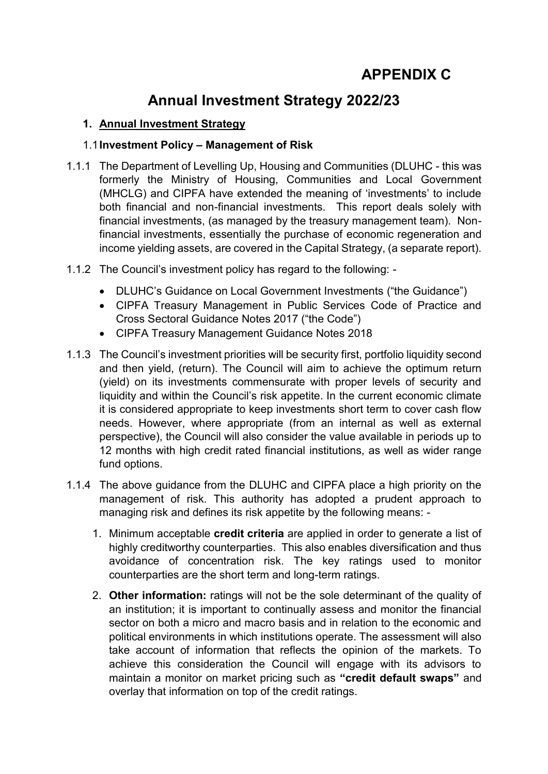# **Annual Investment Strategy 2022/23**

## **1. Annual Investment Strategy**

## 1.1**Investment Policy – Management of Risk**

- 1.1.1 The Department of Levelling Up, Housing and Communities (DLUHC this was formerly the Ministry of Housing, Communities and Local Government (MHCLG) and CIPFA have extended the meaning of 'investments' to include both financial and non-financial investments. This report deals solely with financial investments, (as managed by the treasury management team). Nonfinancial investments, essentially the purchase of economic regeneration and income yielding assets, are covered in the Capital Strategy, (a separate report).
- 1.1.2 The Council's investment policy has regard to the following:
	- DLUHC's Guidance on Local Government Investments ("the Guidance")
	- CIPFA Treasury Management in Public Services Code of Practice and Cross Sectoral Guidance Notes 2017 ("the Code")
	- CIPFA Treasury Management Guidance Notes 2018
- 1.1.3 The Council's investment priorities will be security first, portfolio liquidity second and then yield, (return). The Council will aim to achieve the optimum return (yield) on its investments commensurate with proper levels of security and liquidity and within the Council's risk appetite. In the current economic climate it is considered appropriate to keep investments short term to cover cash flow needs. However, where appropriate (from an internal as well as external perspective), the Council will also consider the value available in periods up to 12 months with high credit rated financial institutions, as well as wider range fund options.
- 1.1.4 The above guidance from the DLUHC and CIPFA place a high priority on the management of risk. This authority has adopted a prudent approach to managing risk and defines its risk appetite by the following means: -
	- 1. Minimum acceptable **credit criteria** are applied in order to generate a list of highly creditworthy counterparties. This also enables diversification and thus avoidance of concentration risk. The key ratings used to monitor counterparties are the short term and long-term ratings.
	- 2. **Other information:** ratings will not be the sole determinant of the quality of an institution; it is important to continually assess and monitor the financial sector on both a micro and macro basis and in relation to the economic and political environments in which institutions operate. The assessment will also take account of information that reflects the opinion of the markets. To achieve this consideration the Council will engage with its advisors to maintain a monitor on market pricing such as **"credit default swaps"** and overlay that information on top of the credit ratings.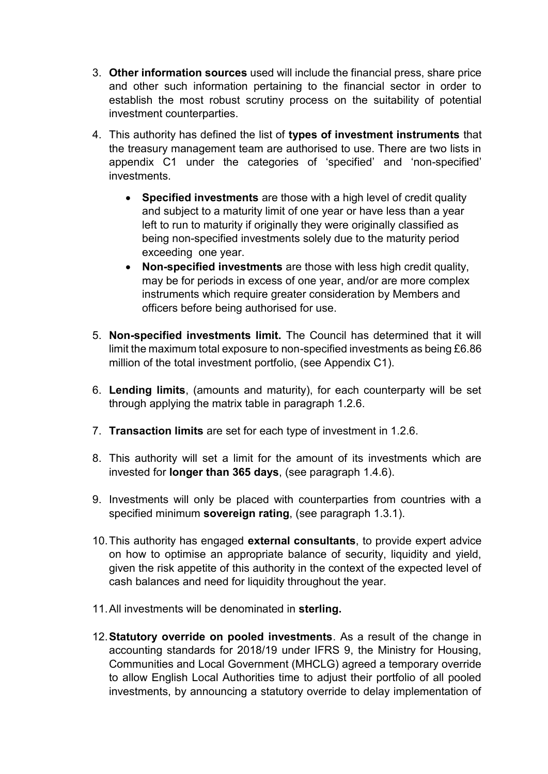- 3. **Other information sources** used will include the financial press, share price and other such information pertaining to the financial sector in order to establish the most robust scrutiny process on the suitability of potential investment counterparties.
- 4. This authority has defined the list of **types of investment instruments** that the treasury management team are authorised to use. There are two lists in appendix C1 under the categories of 'specified' and 'non-specified' investments.
	- **Specified investments** are those with a high level of credit quality and subject to a maturity limit of one year or have less than a year left to run to maturity if originally they were originally classified as being non-specified investments solely due to the maturity period exceeding one year.
	- **Non-specified investments** are those with less high credit quality, may be for periods in excess of one year, and/or are more complex instruments which require greater consideration by Members and officers before being authorised for use.
- 5. **Non-specified investments limit.** The Council has determined that it will limit the maximum total exposure to non-specified investments as being £6.86 million of the total investment portfolio, (see Appendix C1).
- 6. **Lending limits**, (amounts and maturity), for each counterparty will be set through applying the matrix table in paragraph 1.2.6.
- 7. **Transaction limits** are set for each type of investment in 1.2.6.
- 8. This authority will set a limit for the amount of its investments which are invested for **longer than 365 days**, (see paragraph 1.4.6).
- 9. Investments will only be placed with counterparties from countries with a specified minimum **sovereign rating**, (see paragraph 1.3.1).
- 10.This authority has engaged **external consultants**, to provide expert advice on how to optimise an appropriate balance of security, liquidity and yield, given the risk appetite of this authority in the context of the expected level of cash balances and need for liquidity throughout the year.
- 11.All investments will be denominated in **sterling.**
- 12.**Statutory override on pooled investments**. As a result of the change in accounting standards for 2018/19 under IFRS 9, the Ministry for Housing, Communities and Local Government (MHCLG) agreed a temporary override to allow English Local Authorities time to adjust their portfolio of all pooled investments, by announcing a statutory override to delay implementation of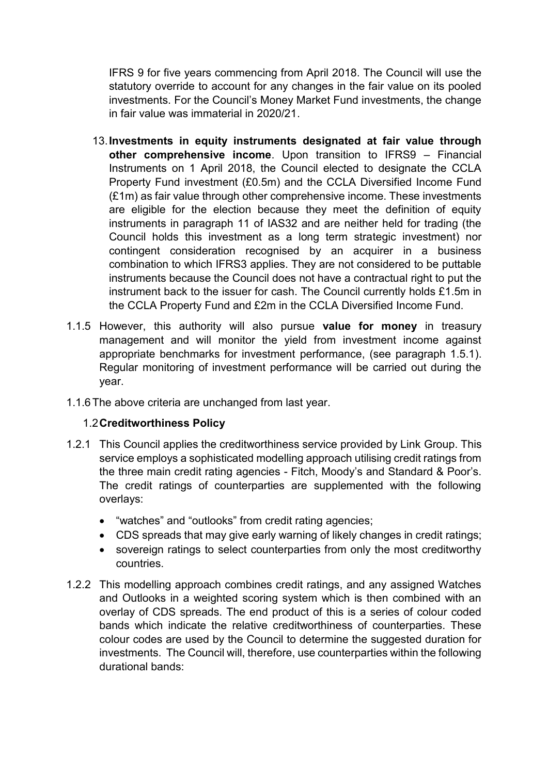IFRS 9 for five years commencing from April 2018. The Council will use the statutory override to account for any changes in the fair value on its pooled investments. For the Council's Money Market Fund investments, the change in fair value was immaterial in 2020/21.

- 13.**Investments in equity instruments designated at fair value through other comprehensive income**. Upon transition to IFRS9 – Financial Instruments on 1 April 2018, the Council elected to designate the CCLA Property Fund investment (£0.5m) and the CCLA Diversified Income Fund (£1m) as fair value through other comprehensive income. These investments are eligible for the election because they meet the definition of equity instruments in paragraph 11 of IAS32 and are neither held for trading (the Council holds this investment as a long term strategic investment) nor contingent consideration recognised by an acquirer in a business combination to which IFRS3 applies. They are not considered to be puttable instruments because the Council does not have a contractual right to put the instrument back to the issuer for cash. The Council currently holds £1.5m in the CCLA Property Fund and £2m in the CCLA Diversified Income Fund.
- 1.1.5 However, this authority will also pursue **value for money** in treasury management and will monitor the yield from investment income against appropriate benchmarks for investment performance, (see paragraph 1.5.1). Regular monitoring of investment performance will be carried out during the year.
- 1.1.6The above criteria are unchanged from last year.

## 1.2**Creditworthiness Policy**

- 1.2.1 This Council applies the creditworthiness service provided by Link Group. This service employs a sophisticated modelling approach utilising credit ratings from the three main credit rating agencies - Fitch, Moody's and Standard & Poor's. The credit ratings of counterparties are supplemented with the following overlays:
	- "watches" and "outlooks" from credit rating agencies;
	- CDS spreads that may give early warning of likely changes in credit ratings;
	- sovereign ratings to select counterparties from only the most creditworthy countries.
- 1.2.2 This modelling approach combines credit ratings, and any assigned Watches and Outlooks in a weighted scoring system which is then combined with an overlay of CDS spreads. The end product of this is a series of colour coded bands which indicate the relative creditworthiness of counterparties. These colour codes are used by the Council to determine the suggested duration for investments. The Council will, therefore, use counterparties within the following durational bands: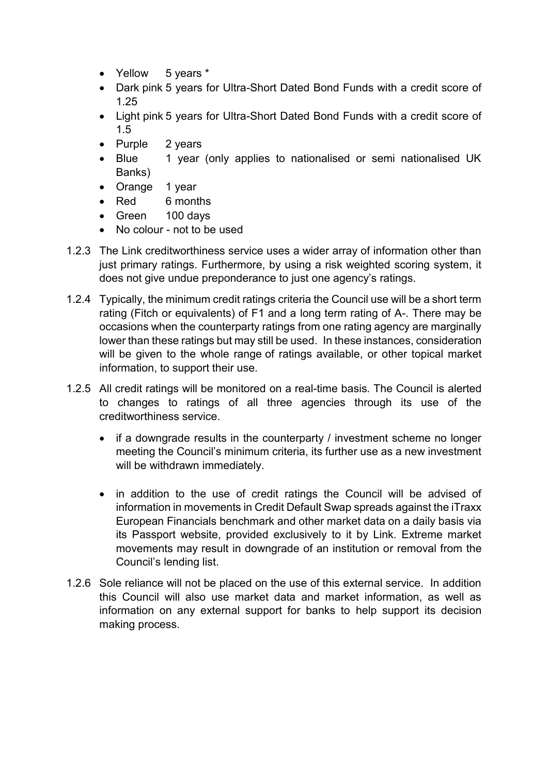- Yellow 5 years \*
- Dark pink 5 years for Ultra-Short Dated Bond Funds with a credit score of 1.25
- Light pink 5 years for Ultra-Short Dated Bond Funds with a credit score of 1.5
- Purple 2 years
- Blue 1 year (only applies to nationalised or semi nationalised UK Banks)
- Orange 1 year
- Red 6 months
- Green 100 days
- No colour not to be used
- 1.2.3 The Link creditworthiness service uses a wider array of information other than just primary ratings. Furthermore, by using a risk weighted scoring system, it does not give undue preponderance to just one agency's ratings.
- 1.2.4 Typically, the minimum credit ratings criteria the Council use will be a short term rating (Fitch or equivalents) of F1 and a long term rating of A-. There may be occasions when the counterparty ratings from one rating agency are marginally lower than these ratings but may still be used. In these instances, consideration will be given to the whole range of ratings available, or other topical market information, to support their use.
- 1.2.5 All credit ratings will be monitored on a real-time basis*.* The Council is alerted to changes to ratings of all three agencies through its use of the creditworthiness service.
	- if a downgrade results in the counterparty / investment scheme no longer meeting the Council's minimum criteria, its further use as a new investment will be withdrawn immediately.
	- in addition to the use of credit ratings the Council will be advised of information in movements in Credit Default Swap spreads against the iTraxx European Financials benchmark and other market data on a daily basis via its Passport website, provided exclusively to it by Link. Extreme market movements may result in downgrade of an institution or removal from the Council's lending list.
- 1.2.6 Sole reliance will not be placed on the use of this external service. In addition this Council will also use market data and market information, as well as information on any external support for banks to help support its decision making process.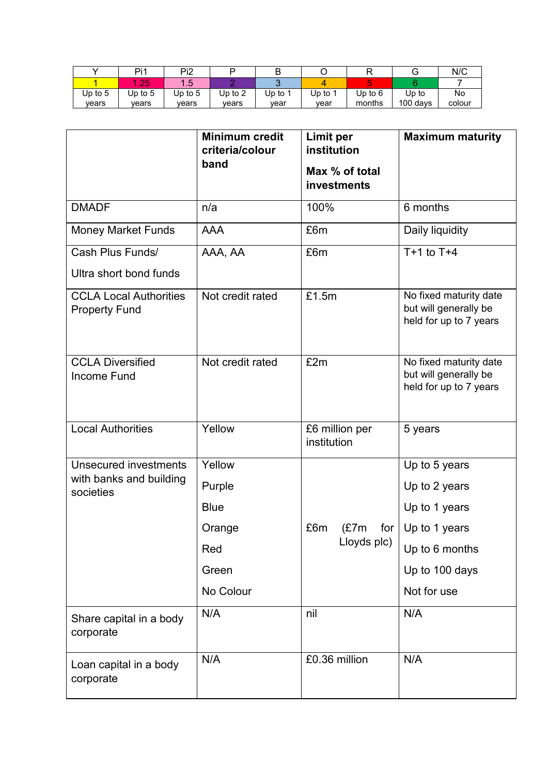|           | Pi1       | Pi2       |           | L.        |         |         |          | N/C    |
|-----------|-----------|-----------|-----------|-----------|---------|---------|----------|--------|
|           | りつに       | -- - - -  |           |           |         |         |          |        |
| Up to $5$ | Up to $5$ | Up to $5$ | Up to $2$ | $Jp$ to 1 | Up to 1 | Up to 6 | Up to    | No     |
| vears     | vears     | vears     | vears     | vear      | vear    | months  | 100 days | colour |

|                                                       | <b>Minimum credit</b><br>criteria/colour<br>band | <b>Limit per</b><br>institution<br>Max % of total<br>investments | <b>Maximum maturity</b>                                                   |
|-------------------------------------------------------|--------------------------------------------------|------------------------------------------------------------------|---------------------------------------------------------------------------|
| <b>DMADF</b>                                          | n/a                                              | 100%                                                             | 6 months                                                                  |
| <b>Money Market Funds</b>                             | <b>AAA</b>                                       | £6m                                                              | Daily liquidity                                                           |
| Cash Plus Funds/                                      | AAA, AA                                          | £6m                                                              | $T+1$ to $T+4$                                                            |
| Ultra short bond funds                                |                                                  |                                                                  |                                                                           |
| <b>CCLA Local Authorities</b><br><b>Property Fund</b> | Not credit rated                                 | £1.5m                                                            | No fixed maturity date<br>but will generally be<br>held for up to 7 years |
| <b>CCLA Diversified</b><br><b>Income Fund</b>         | Not credit rated                                 | £2m                                                              | No fixed maturity date<br>but will generally be<br>held for up to 7 years |
| <b>Local Authorities</b>                              | Yellow                                           | £6 million per<br>institution                                    | 5 years                                                                   |
| <b>Unsecured investments</b>                          | Yellow                                           |                                                                  | Up to 5 years                                                             |
| with banks and building<br>societies                  | Purple                                           |                                                                  | Up to 2 years                                                             |
|                                                       | <b>Blue</b>                                      |                                                                  | Up to 1 years                                                             |
|                                                       | Orange                                           | £6m<br>(£7m                                                      | for $\vert$ Up to 1 years                                                 |
|                                                       | Red                                              | Lloyds plc)                                                      | Up to 6 months                                                            |
|                                                       | Green                                            |                                                                  | Up to 100 days                                                            |
|                                                       | No Colour                                        |                                                                  | Not for use                                                               |
| Share capital in a body<br>corporate                  | N/A                                              | nil                                                              | N/A                                                                       |
| Loan capital in a body<br>corporate                   | N/A                                              | £0.36 million                                                    | N/A                                                                       |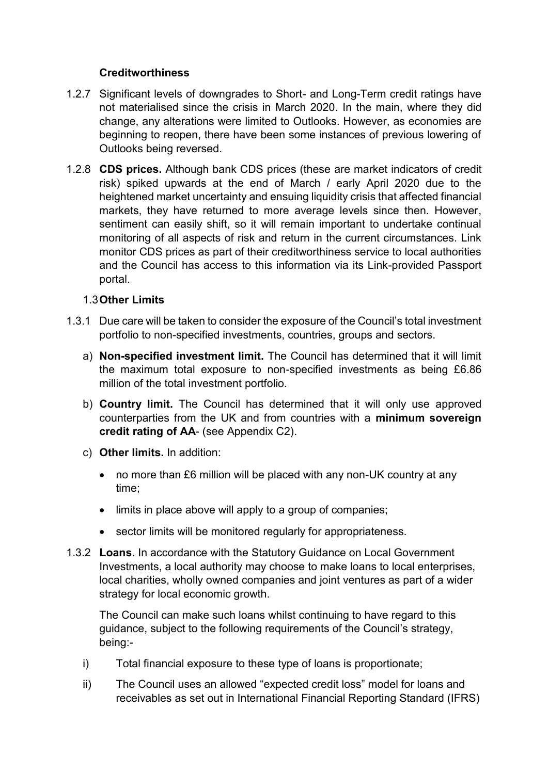## **Creditworthiness**

- 1.2.7 Significant levels of downgrades to Short- and Long-Term credit ratings have not materialised since the crisis in March 2020. In the main, where they did change, any alterations were limited to Outlooks. However, as economies are beginning to reopen, there have been some instances of previous lowering of Outlooks being reversed.
- 1.2.8 **CDS prices.** Although bank CDS prices (these are market indicators of credit risk) spiked upwards at the end of March / early April 2020 due to the heightened market uncertainty and ensuing liquidity crisis that affected financial markets, they have returned to more average levels since then. However, sentiment can easily shift, so it will remain important to undertake continual monitoring of all aspects of risk and return in the current circumstances. Link monitor CDS prices as part of their creditworthiness service to local authorities and the Council has access to this information via its Link-provided Passport portal.

## 1.3**Other Limits**

- 1.3.1 Due care will be taken to consider the exposure of the Council's total investment portfolio to non-specified investments, countries, groups and sectors.
	- a) **Non-specified investment limit.** The Council has determined that it will limit the maximum total exposure to non-specified investments as being £6.86 million of the total investment portfolio.
	- b) **Country limit.** The Council has determined that it will only use approved counterparties from the UK and from countries with a **minimum sovereign credit rating of AA**- (see Appendix C2).
	- c) **Other limits.** In addition:
		- no more than £6 million will be placed with any non-UK country at any time;
		- limits in place above will apply to a group of companies;
		- sector limits will be monitored regularly for appropriateness.
- 1.3.2 **Loans.** In accordance with the Statutory Guidance on Local Government Investments, a local authority may choose to make loans to local enterprises, local charities, wholly owned companies and joint ventures as part of a wider strategy for local economic growth.

The Council can make such loans whilst continuing to have regard to this guidance, subject to the following requirements of the Council's strategy, being:-

- i) Total financial exposure to these type of loans is proportionate;
- ii) The Council uses an allowed "expected credit loss" model for loans and receivables as set out in International Financial Reporting Standard (IFRS)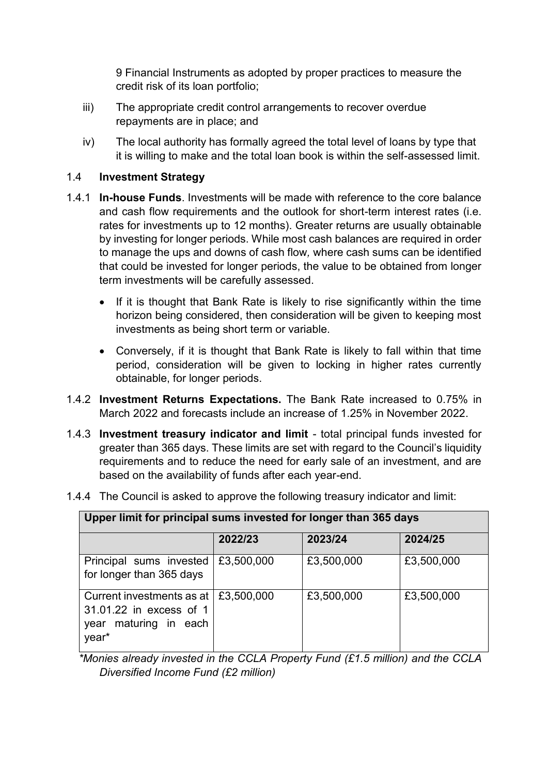9 Financial Instruments as adopted by proper practices to measure the credit risk of its loan portfolio;

- iii) The appropriate credit control arrangements to recover overdue repayments are in place; and
- iv) The local authority has formally agreed the total level of loans by type that it is willing to make and the total loan book is within the self-assessed limit.

## 1.4 **Investment Strategy**

- 1.4.1 **In-house Funds**. Investments will be made with reference to the core balance and cash flow requirements and the outlook for short-term interest rates (i.e. rates for investments up to 12 months). Greater returns are usually obtainable by investing for longer periods. While most cash balances are required in order to manage the ups and downs of cash flow*,* where cash sums can be identified that could be invested for longer periods, the value to be obtained from longer term investments will be carefully assessed.
	- If it is thought that Bank Rate is likely to rise significantly within the time horizon being considered, then consideration will be given to keeping most investments as being short term or variable.
	- Conversely, if it is thought that Bank Rate is likely to fall within that time period, consideration will be given to locking in higher rates currently obtainable, for longer periods.
- 1.4.2 **Investment Returns Expectations.** The Bank Rate increased to 0.75% in March 2022 and forecasts include an increase of 1.25% in November 2022.
- 1.4.3 **Investment treasury indicator and limit** total principal funds invested for greater than 365 days. These limits are set with regard to the Council's liquidity requirements and to reduce the need for early sale of an investment, and are based on the availability of funds after each year-end.
- 1.4.4 The Council is asked to approve the following treasury indicator and limit:

| <b>OPPUT INITIO PHILOPUL SUITS INTOSICATOL IONGUL GRUP COO GATS</b>                          |            |            |            |  |
|----------------------------------------------------------------------------------------------|------------|------------|------------|--|
|                                                                                              | 2022/23    | 2023/24    | 2024/25    |  |
| Principal sums invested<br>for longer than 365 days                                          | £3,500,000 | £3,500,000 | £3,500,000 |  |
| Current investments as at<br>31.01.22 in excess of 1<br>maturing in<br>each<br>year<br>year* | £3,500,000 | £3,500,000 | £3,500,000 |  |

## **Upper limit for principal sums invested for longer than 365 days**

 *\*Monies already invested in the CCLA Property Fund (£1.5 million) and the CCLA Diversified Income Fund (£2 million)*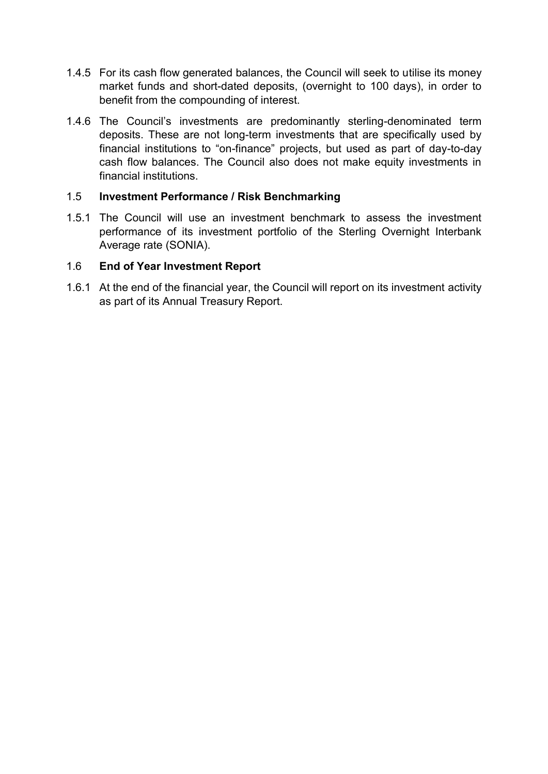- 1.4.5 For its cash flow generated balances, the Council will seek to utilise its money market funds and short-dated deposits, (overnight to 100 days), in order to benefit from the compounding of interest.
- 1.4.6 The Council's investments are predominantly sterling-denominated term deposits. These are not long-term investments that are specifically used by financial institutions to "on-finance" projects, but used as part of day-to-day cash flow balances. The Council also does not make equity investments in financial institutions.

#### 1.5 **Investment Performance / Risk Benchmarking**

1.5.1 The Council will use an investment benchmark to assess the investment performance of its investment portfolio of the Sterling Overnight Interbank Average rate (SONIA).

#### 1.6 **End of Year Investment Report**

1.6.1 At the end of the financial year, the Council will report on its investment activity as part of its Annual Treasury Report.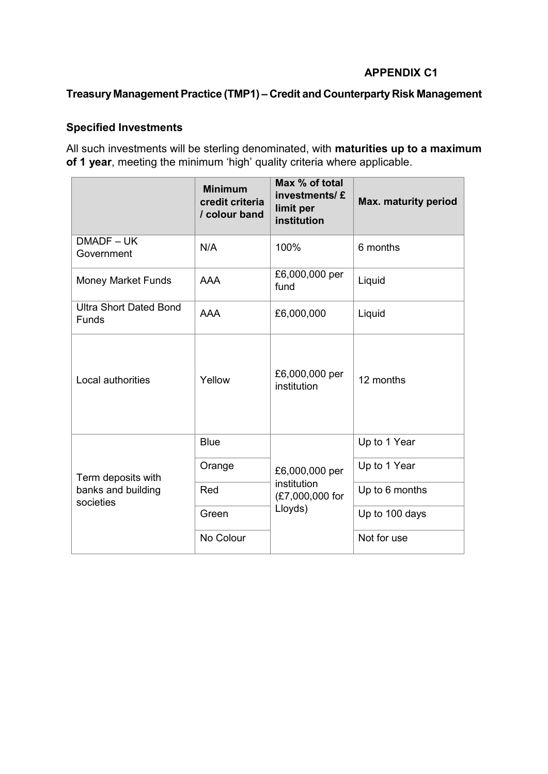## **APPENDIX C1**

## **Treasury Management Practice (TMP1) – Credit and Counterparty Risk Management**

## **Specified Investments**

All such investments will be sterling denominated, with **maturities up to a maximum of 1 year**, meeting the minimum 'high' quality criteria where applicable.

|                                               | <b>Minimum</b><br>credit criteria<br>/ colour band | Max % of total<br>investments/£<br>limit per<br>institution | Max. maturity period |  |
|-----------------------------------------------|----------------------------------------------------|-------------------------------------------------------------|----------------------|--|
| DMADF-UK<br>Government                        | N/A                                                | 100%                                                        | 6 months             |  |
| <b>Money Market Funds</b>                     | <b>AAA</b>                                         | £6,000,000 per<br>fund                                      | Liquid               |  |
| <b>Ultra Short Dated Bond</b><br><b>Funds</b> | <b>AAA</b>                                         | £6,000,000                                                  | Liquid               |  |
| Local authorities                             | Yellow                                             | £6,000,000 per<br>institution                               | 12 months            |  |
|                                               | <b>Blue</b>                                        |                                                             | Up to 1 Year         |  |
| Term deposits with                            | Orange                                             | £6,000,000 per                                              | Up to 1 Year         |  |
| banks and building<br>societies               | Red                                                | institution<br>(£7,000,000 for                              | Up to 6 months       |  |
|                                               | Green                                              | Lloyds)                                                     | Up to 100 days       |  |
|                                               | No Colour                                          |                                                             | Not for use          |  |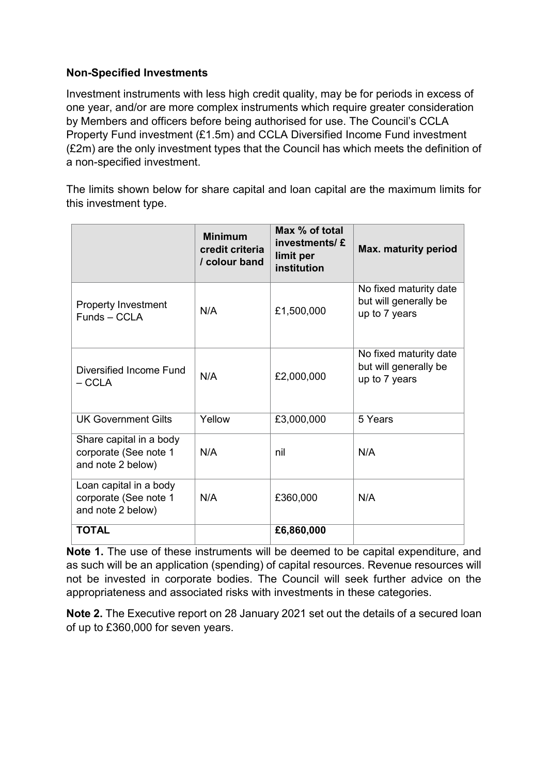## **Non-Specified Investments**

Investment instruments with less high credit quality, may be for periods in excess of one year, and/or are more complex instruments which require greater consideration by Members and officers before being authorised for use. The Council's CCLA Property Fund investment (£1.5m) and CCLA Diversified Income Fund investment (£2m) are the only investment types that the Council has which meets the definition of a non-specified investment.

The limits shown below for share capital and loan capital are the maximum limits for this investment type.

|                                                                       | <b>Minimum</b><br>credit criteria<br>/ colour band | Max % of total<br>investments/£<br>limit per<br>institution | Max. maturity period                                             |
|-----------------------------------------------------------------------|----------------------------------------------------|-------------------------------------------------------------|------------------------------------------------------------------|
| <b>Property Investment</b><br>Funds - CCLA                            | N/A                                                | £1,500,000                                                  | No fixed maturity date<br>but will generally be<br>up to 7 years |
| Diversified Income Fund<br>$-$ CCLA                                   | N/A                                                | £2,000,000                                                  | No fixed maturity date<br>but will generally be<br>up to 7 years |
| <b>UK Government Gilts</b>                                            | Yellow                                             | £3,000,000                                                  | 5 Years                                                          |
| Share capital in a body<br>corporate (See note 1<br>and note 2 below) | N/A                                                | nil                                                         | N/A                                                              |
| Loan capital in a body<br>corporate (See note 1<br>and note 2 below)  | N/A                                                | £360,000                                                    | N/A                                                              |
| <b>TOTAL</b>                                                          |                                                    | £6,860,000                                                  |                                                                  |

**Note 1.** The use of these instruments will be deemed to be capital expenditure, and as such will be an application (spending) of capital resources. Revenue resources will not be invested in corporate bodies. The Council will seek further advice on the appropriateness and associated risks with investments in these categories.

**Note 2.** The Executive report on 28 January 2021 set out the details of a secured loan of up to £360,000 for seven years.